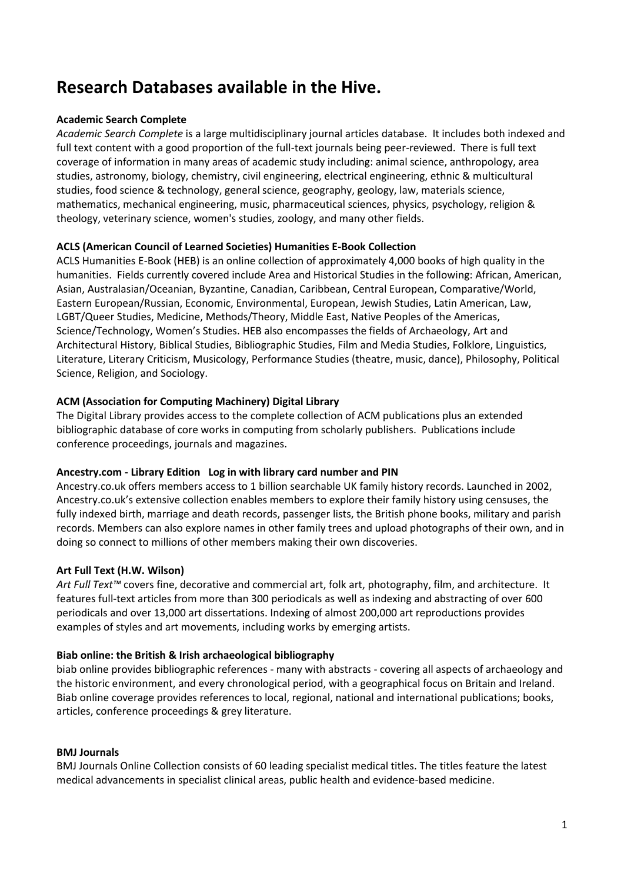# **Research Databases available in the Hive.**

# **Academic Search Complete**

*Academic Search Complete* is a large multidisciplinary journal articles database. It includes both indexed and full text content with a good proportion of the full-text journals being peer-reviewed. There is full text coverage of information in many areas of academic study including: animal science, anthropology, area studies, astronomy, biology, chemistry, civil engineering, electrical engineering, ethnic & multicultural studies, food science & technology, general science, geography, geology, law, materials science, mathematics, mechanical engineering, music, pharmaceutical sciences, physics, psychology, religion & theology, veterinary science, women's studies, zoology, and many other fields.

## **ACLS (American Council of Learned Societies) Humanities E-Book Collection**

ACLS Humanities E-Book (HEB) is an online collection of approximately 4,000 books of high quality in the humanities. Fields currently covered include Area and Historical Studies in the following: African, American, Asian, Australasian/Oceanian, Byzantine, Canadian, Caribbean, Central European, Comparative/World, Eastern European/Russian, Economic, Environmental, European, Jewish Studies, Latin American, Law, LGBT/Queer Studies, Medicine, Methods/Theory, Middle East, Native Peoples of the Americas, Science/Technology, Women's Studies. HEB also encompasses the fields of Archaeology, Art and Architectural History, Biblical Studies, Bibliographic Studies, Film and Media Studies, Folklore, Linguistics, Literature, Literary Criticism, Musicology, Performance Studies (theatre, music, dance), Philosophy, Political Science, Religion, and Sociology.

## **ACM (Association for Computing Machinery) Digital Library**

The Digital Library provides access to the complete collection of ACM publications plus an extended bibliographic database of core works in computing from scholarly publishers. Publications include conference proceedings, journals and magazines.

#### **Ancestry.com - Library Edition Log in with library card number and PIN**

Ancestry.co.uk offers members access to 1 billion searchable UK family history records. Launched in 2002, Ancestry.co.uk's extensive collection enables members to explore their family history using censuses, the fully indexed birth, marriage and death records, passenger lists, the British phone books, military and parish records. Members can also explore names in other family trees and upload photographs of their own, and in doing so connect to millions of other members making their own discoveries.

# **Art Full Text (H.W. Wilson)**

*Art Full Text™* covers fine, decorative and commercial art, folk art, photography, film, and architecture. It features full-text articles from more than 300 periodicals as well as indexing and abstracting of over 600 periodicals and over 13,000 art dissertations. Indexing of almost 200,000 art reproductions provides examples of styles and art movements, including works by emerging artists.

#### **Biab online: the British & Irish archaeological bibliography**

biab online provides bibliographic references - many with abstracts - covering all aspects of archaeology and the historic environment, and every chronological period, with a geographical focus on Britain and Ireland. Biab online coverage provides references to local, regional, national and international publications; books, articles, conference proceedings & grey literature.

#### **BMJ Journals**

BMJ Journals Online Collection consists of 60 leading specialist medical titles. The titles feature the latest medical advancements in specialist clinical areas, public health and evidence-based medicine.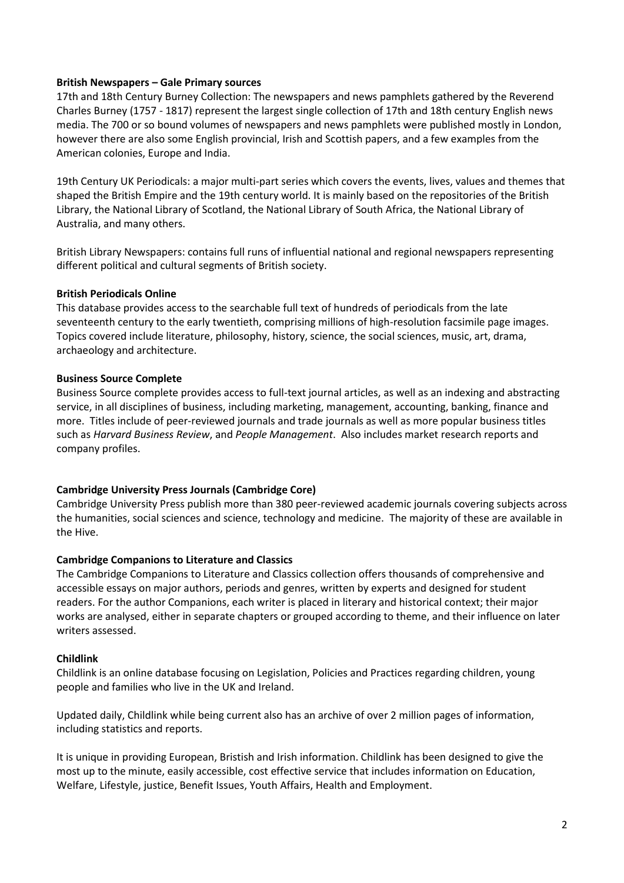## **British Newspapers – Gale Primary sources**

17th and 18th Century Burney Collection: The newspapers and news pamphlets gathered by the Reverend Charles Burney (1757 - 1817) represent the largest single collection of 17th and 18th century English news media. The 700 or so bound volumes of newspapers and news pamphlets were published mostly in London, however there are also some English provincial, Irish and Scottish papers, and a few examples from the American colonies, Europe and India.

19th Century UK Periodicals: a major multi-part series which covers the events, lives, values and themes that shaped the British Empire and the 19th century world. It is mainly based on the repositories of the British Library, the National Library of Scotland, the National Library of South Africa, the National Library of Australia, and many others.

British Library Newspapers: contains full runs of influential national and regional newspapers representing different political and cultural segments of British society.

## **British Periodicals Online**

This database provides access to the searchable full text of hundreds of periodicals from the late seventeenth century to the early twentieth, comprising millions of high-resolution facsimile page images. Topics covered include literature, philosophy, history, science, the social sciences, music, art, drama, archaeology and architecture.

## **Business Source Complete**

Business Source complete provides access to full-text journal articles, as well as an indexing and abstracting service, in all disciplines of business, including marketing, management, accounting, banking, finance and more. Titles include of peer-reviewed journals and trade journals as well as more popular business titles such as *Harvard Business Review*, and *People Management*. Also includes market research reports and company profiles.

# **Cambridge University Press Journals (Cambridge Core)**

Cambridge University Press publish more than 380 peer-reviewed academic journals covering subjects across the humanities, social sciences and science, technology and medicine. The majority of these are available in the Hive.

#### **Cambridge Companions to Literature and Classics**

The Cambridge Companions to Literature and Classics collection offers thousands of comprehensive and accessible essays on major authors, periods and genres, written by experts and designed for student readers. For the author Companions, each writer is placed in literary and historical context; their major works are analysed, either in separate chapters or grouped according to theme, and their influence on later writers assessed.

#### **Childlink**

Childlink is an online database focusing on Legislation, Policies and Practices regarding children, young people and families who live in the UK and Ireland.

Updated daily, Childlink while being current also has an archive of over 2 million pages of information, including statistics and reports.

It is unique in providing European, Bristish and Irish information. Childlink has been designed to give the most up to the minute, easily accessible, cost effective service that includes information on Education, Welfare, Lifestyle, justice, Benefit Issues, Youth Affairs, Health and Employment.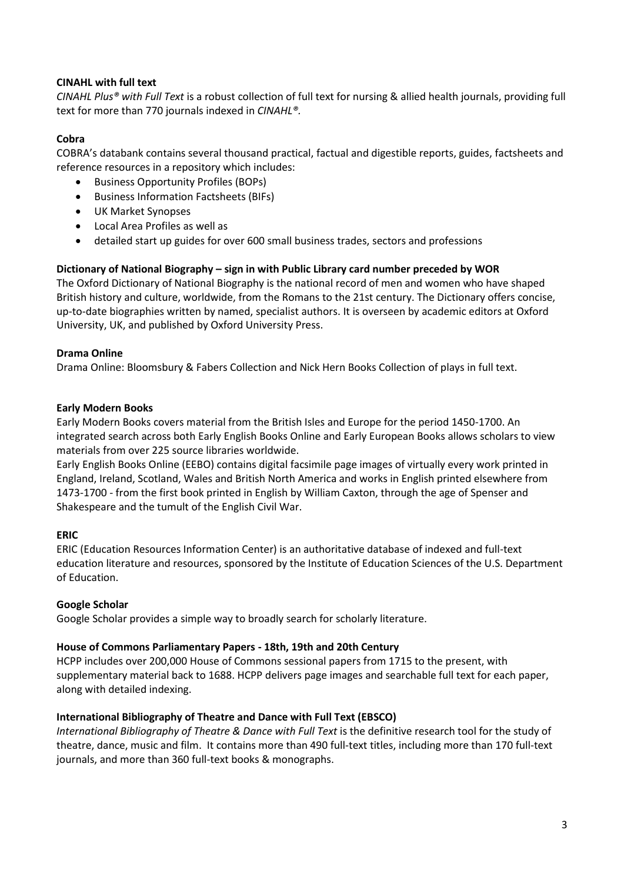# **CINAHL with full text**

*CINAHL Plus® with Full Text* is a robust collection of full text for nursing & allied health journals, providing full text for more than 770 journals indexed in *CINAHL®.*

# **Cobra**

COBRA's databank contains several thousand practical, factual and digestible reports, guides, factsheets and reference resources in a repository which includes:

- Business Opportunity Profiles (BOPs)
- Business Information Factsheets (BIFs)
- UK Market Synopses
- Local Area Profiles as well as
- detailed start up guides for over 600 small business trades, sectors and professions

# **Dictionary of National Biography – sign in with Public Library card number preceded by WOR**

The Oxford Dictionary of National Biography is the national record of men and women who have shaped British history and culture, worldwide, from the Romans to the 21st century. The Dictionary offers concise, up-to-date biographies written by named, specialist authors. It is overseen by academic editors at Oxford University, UK, and published by Oxford University Press.

# **Drama Online**

Drama Online: Bloomsbury & Fabers Collection and Nick Hern Books Collection of plays in full text.

# **Early Modern Books**

Early Modern Books covers material from the British Isles and Europe for the period 1450-1700. An integrated search across both Early English Books Online and Early European Books allows scholars to view materials from over 225 source libraries worldwide.

Early English Books Online (EEBO) contains digital facsimile page images of virtually every work printed in England, Ireland, Scotland, Wales and British North America and works in English printed elsewhere from 1473-1700 - from the first book printed in English by William Caxton, through the age of Spenser and Shakespeare and the tumult of the English Civil War.

# **ERIC**

ERIC (Education Resources Information Center) is an authoritative database of indexed and full-text education literature and resources, sponsored by the Institute of Education Sciences of the U.S. Department of Education.

# **Google Scholar**

Google Scholar provides a simple way to broadly search for scholarly literature.

# **House of Commons Parliamentary Papers - 18th, 19th and 20th Century**

HCPP includes over 200,000 House of Commons sessional papers from 1715 to the present, with supplementary material back to 1688. HCPP delivers page images and searchable full text for each paper, along with detailed indexing.

# **International Bibliography of Theatre and Dance with Full Text (EBSCO)**

*International Bibliography of Theatre & Dance with Full Text* is the definitive research tool for the study of theatre, dance, music and film. It contains more than 490 full-text titles, including more than 170 full-text journals, and more than 360 full-text books & monographs.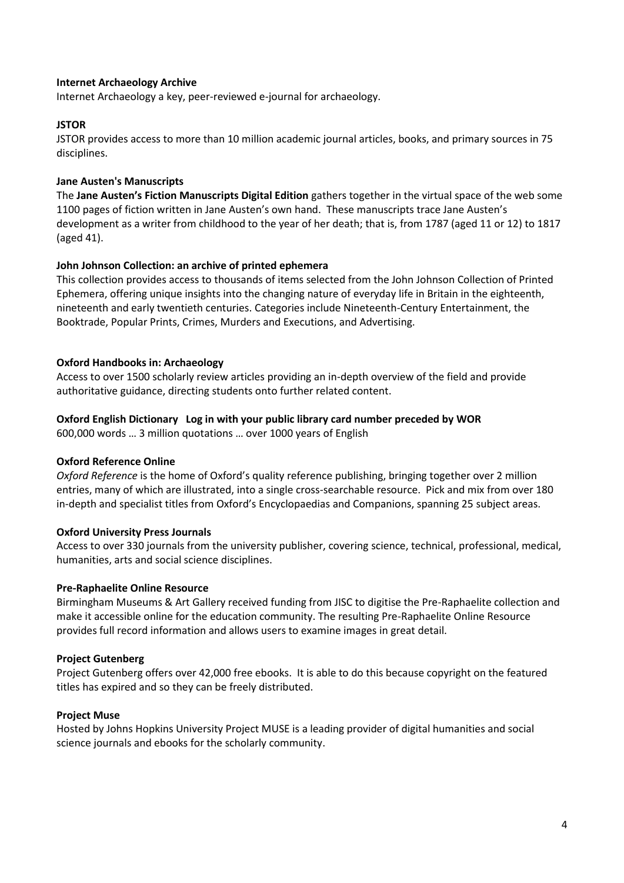## **Internet Archaeology Archive**

Internet Archaeology a key, peer-reviewed e-journal for archaeology.

#### **JSTOR**

JSTOR provides access to more than 10 million academic journal articles, books, and primary sources in 75 disciplines.

#### **Jane Austen's Manuscripts**

The **Jane Austen's Fiction Manuscripts Digital Edition** gathers together in the virtual space of the web some 1100 pages of fiction written in Jane Austen's own hand. These manuscripts trace Jane Austen's development as a writer from childhood to the year of her death; that is, from 1787 (aged 11 or 12) to 1817 (aged 41).

#### **John Johnson Collection: an archive of printed ephemera**

This collection provides access to thousands of items selected from the John Johnson Collection of Printed Ephemera, offering unique insights into the changing nature of everyday life in Britain in the eighteenth, nineteenth and early twentieth centuries. Categories include Nineteenth-Century Entertainment, the Booktrade, Popular Prints, Crimes, Murders and Executions, and Advertising.

#### **Oxford Handbooks in: Archaeology**

Access to over 1500 scholarly review articles providing an in-depth overview of the field and provide authoritative guidance, directing students onto further related content.

#### **Oxford English Dictionary Log in with your public library card number preceded by WOR**

600,000 words … 3 million quotations … over 1000 years of English

#### **Oxford Reference Online**

*Oxford Reference* is the home of Oxford's quality reference publishing, bringing together over 2 million entries, many of which are illustrated, into a single cross-searchable resource. Pick and mix from over 180 in-depth and specialist titles from Oxford's Encyclopaedias and Companions, spanning 25 subject areas.

#### **Oxford University Press Journals**

Access to over 330 journals from the university publisher, covering science, technical, professional, medical, humanities, arts and social science disciplines.

#### **Pre-Raphaelite Online Resource**

Birmingham Museums & Art Gallery received funding from JISC to digitise the Pre-Raphaelite collection and make it accessible online for the education community. The resulting Pre-Raphaelite Online Resource provides full record information and allows users to examine images in great detail.

#### **Project Gutenberg**

Project Gutenberg offers over 42,000 free ebooks. It is able to do this because copyright on the featured titles has expired and so they can be freely distributed.

#### **Project Muse**

Hosted by Johns Hopkins University Project MUSE is a leading provider of digital humanities and social science journals and ebooks for the scholarly community.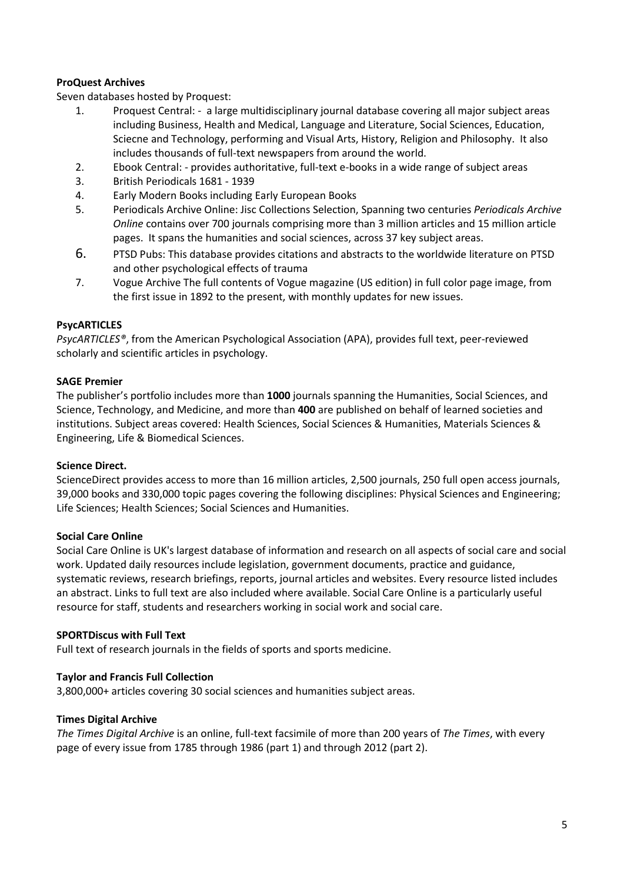# **ProQuest Archives**

Seven databases hosted by Proquest:

- 1. Proquest Central: a large multidisciplinary journal database covering all major subject areas including Business, Health and Medical, Language and Literature, Social Sciences, Education, Sciecne and Technology, performing and Visual Arts, History, Religion and Philosophy. It also includes thousands of full-text newspapers from around the world.
- 2. Ebook Central: provides authoritative, full-text e-books in a wide range of subject areas
- 3. British Periodicals 1681 1939
- 4. Early Modern Books including Early European Books
- 5. Periodicals Archive Online: Jisc Collections Selection, Spanning two centuries *Periodicals Archive Online* contains over 700 journals comprising more than 3 million articles and 15 million article pages. It spans the humanities and social sciences, across 37 key subject areas.
- 6. PTSD Pubs: This database provides citations and abstracts to the worldwide literature on PTSD and other psychological effects of trauma
- 7. Vogue Archive The full contents of Vogue magazine (US edition) in full color page image, from the first issue in 1892 to the present, with monthly updates for new issues.

## **PsycARTICLES**

*PsycARTICLES®*, from the American Psychological Association (APA), provides full text, peer-reviewed scholarly and scientific articles in psychology.

#### **SAGE Premier**

The publisher's portfolio includes more than **1000** journals spanning the Humanities, Social Sciences, and Science, Technology, and Medicine, and more than **400** are published on behalf of learned societies and institutions. Subject areas covered: Health Sciences, Social Sciences & Humanities, Materials Sciences & Engineering, Life & Biomedical Sciences.

#### **Science Direct.**

ScienceDirect provides access to more than 16 million articles, 2,500 journals, 250 full open access journals, 39,000 books and 330,000 topic pages covering the following disciplines: Physical Sciences and Engineering; Life Sciences; Health Sciences; Social Sciences and Humanities.

#### **Social Care Online**

Social Care Online is UK's largest database of information and research on all aspects of social care and social work. Updated daily resources include legislation, government documents, practice and guidance, systematic reviews, research briefings, reports, journal articles and websites. Every resource listed includes an abstract. Links to full text are also included where available. Social Care Online is a particularly useful resource for staff, students and researchers working in social work and social care.

#### **SPORTDiscus with Full Text**

Full text of research journals in the fields of sports and sports medicine.

#### **Taylor and Francis Full Collection**

3,800,000+ articles covering 30 social sciences and humanities subject areas.

#### **Times Digital Archive**

*The Times Digital Archive* is an online, full-text facsimile of more than 200 years of *The Times*, with every page of every issue from 1785 through 1986 (part 1) and through 2012 (part 2).